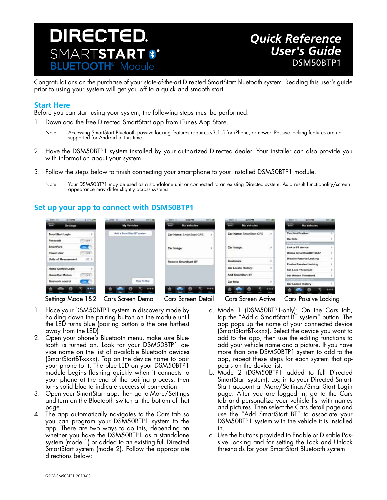

## *Quick Reference User's Guide* DSM50BTP1

Congratulations on the purchase of your state-of-the-art Directed SmartStart Bluetooth system. Reading this user's guide prior to using your system will get you off to a quick and smooth start.

## **Start Here**

Before you can start using your system, the following steps must be performed:

- 1. Download the free Directed SmartStart app from iTunes App Store.
	- Note: Accessing SmartStart Bluetooth passive locking features requires v3.1.5 for iPhone, or newer. Passive locking features are not supported for Android at this time.
- 2. Have the DSM50BTP1 system installed by your authorized Directed dealer. Your installer can also provide you with information about your system.
- 3. Follow the steps below to finish connecting your smartphone to your installed DSM50BTP1 module.
	- Note: Your DSM50BTP1 may be used as a standalone unit or connected to an existing Directed system. As a result functionality/screen appearance may differ slightly across systems.

## **Set up your app to connect with DSM50BTP1**

| <b>A11.798</b><br>3.411.094<br>AIAT, HL<br><b>Section</b><br>Settings | <b>RESILIAN</b><br>A18.7M<br>an. AFAIT, 310.<br>My Vehicles | A 21 FM<br>$-4011$<br>1021-247<br><b>Section</b><br><b>My Vehicles</b> | AZLPM.<br>ARAT.UL<br><b>BRATIS AND</b><br><b>My Vehicles</b><br><b>CHIN</b> | 421, 798<br>1023-002<br>Af&E.<br><b>COLOR</b><br>My Vehicles |
|-----------------------------------------------------------------------|-------------------------------------------------------------|------------------------------------------------------------------------|-----------------------------------------------------------------------------|--------------------------------------------------------------|
| <b>SmartStart Login</b>                                               | Add a SmartDlart BT system.                                 | Car Name: SmartStart GPS<br>$\mathcal{N}$                              | Car Name: SmartStart GPS<br><b>D</b>                                        | <b>Text Nonfication</b>                                      |
| Passcode<br>CFF                                                       |                                                             | <b>Service</b><br>Car Image:                                           |                                                                             | Car Inte<br><b>Bluebach Control</b>                          |
| SmartPark<br>201.5                                                    |                                                             |                                                                        | Car Image:                                                                  | Link a BT device                                             |
| TOFF<br><b>Power User</b>                                             |                                                             |                                                                        |                                                                             | Unitek SmartStartST-66AF                                     |
| UII 3<br>Units of Measurement                                         |                                                             | <b>Remove SmertStart BT</b>                                            | Customize                                                                   | <b>Disable Passive Locking</b>                               |
|                                                                       |                                                             |                                                                        | Car Locate History:                                                         | Enable Passive Locking                                       |
| Home Control Login                                                    |                                                             |                                                                        |                                                                             | fiel Lock Threshold                                          |
| Homs/Car Motion<br>CFT                                                |                                                             |                                                                        | Add SmartStart BT                                                           | <b>Set Unlock Threshold</b>                                  |
| <b>Bluetooth control</b><br><b>COLL</b>                               | How To Buy                                                  |                                                                        | Car Info:                                                                   | Commercial Environment<br>Car Locate History                 |
|                                                                       | <br><b>SHOW</b>                                             |                                                                        | <br>ļ                                                                       |                                                              |

- 1. Place your DSM50BTP1 system in discovery mode by holding down the pairing button on the module until the LED turns blue (pairing button is the one furthest away from the LED)
- 2. Open your phone's Bluetooth menu, make sure Bluetooth is turned on. Look for your DSM50BTP1 device name on the list of available Bluetooth devices (SmartStartBT-xxxx). Tap on the device name to pair your phone to it. The blue LED on your DSM50BTP1 module begins flashing quickly when it connects to your phone at the end of the pairing process, then turns solid blue to indicate successful connection.
- 3. Open your SmartStart app, then go to More/Settings and turn on the Bluetooth switch at the bottom of that page.
- 4. The app automatically navigates to the Cars tab so you can program your DSM50BTP1 system to the app. There are two ways to do this, depending on whether you have the DSM50BTP1 as a standalone system (mode 1) or added to an existing full Directed SmartStart system (mode 2). Follow the appropriate directions below:

Settings-Mode 1&2 Cars Screen-Demo Cars Screen-Detail Cars Screen-Active Cars-Passive Locking

- a. Mode 1 (DSM50BTP1-only): On the Cars tab, tap the "Add a SmartStart BT system" button. The app pops up the name of your connected device (SmartStartBT-xxxx). Select the device you want to add to the app, then use the editing functions to add your vehicle name and a picture. If you have more than one DSM50BTP1 system to add to the app, repeat these steps for each system that appears on the device list.
- b. Mode 2 (DSM50BTP1 added to full Directed SmartStart system): Log in to your Directed Smart-Start account at More/Settings/SmartStart Login page. After you are logged in, go to the Cars tab and personalize your vehicle list with names and pictures. Then select the Cars detail page and use the "Add SmartStart BT" to associate your DSM50BTP1 system with the vehicle it is installed in.
- c. Use the buttons provided to Enable or Disable Passive Locking and for setting the Lock and Unlock thresholds for your SmartStart Bluetooth system.